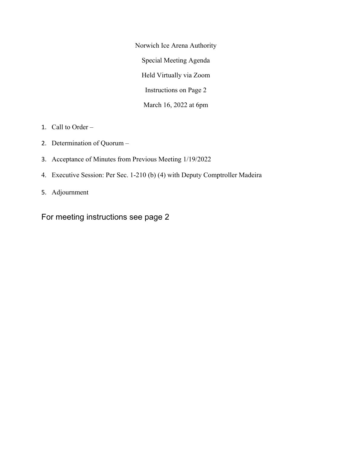Norwich Ice Arena Authority Special Meeting Agenda Held Virtually via Zoom Instructions on Page 2 March 16, 2022 at 6pm

- 1. Call to Order –
- 2. Determination of Quorum –
- 3. Acceptance of Minutes from Previous Meeting 1/19/2022
- 4. Executive Session: Per Sec. 1-210 (b) (4) with Deputy Comptroller Madeira
- 5. Adjournment

For meeting instructions see page 2